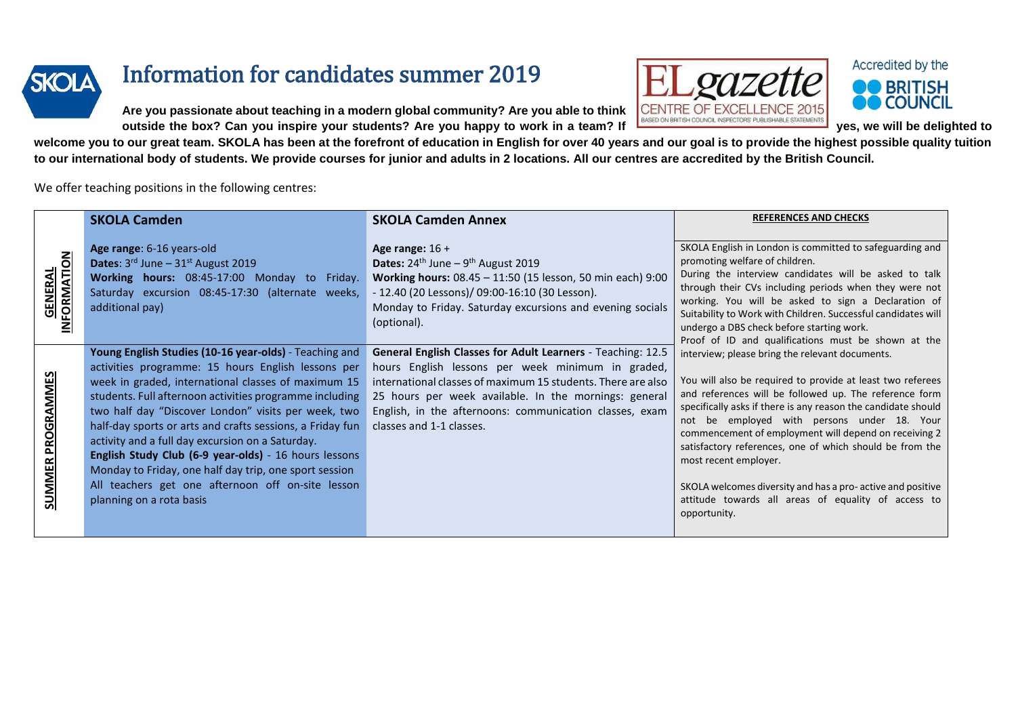

## Information for candidates summer 2019

**Are you passionate about teaching in a modern global community? Are you able to think** 



 $\bm{C}$ 

Accredited by the

**welcome you to our great team. SKOLA has been at the forefront of education in English for over 40 years and our goal is to provide the highest possible quality tuition to our international body of students. We provide courses for junior and adults in 2 locations. All our centres are accredited by the British Council.**

## We offer teaching positions in the following centres:

|                              | <b>SKOLA Camden</b>                                                                                                                                                                                                                                                                                                                                                                                                                                                                                                                                                                                        | <b>SKOLA Camden Annex</b>                                                                                                                                                                                                                                                                                                               | <b>REFERENCES AND CHECKS</b>                                                                                                                                                                                                                                                                                                                                                                                                                                                                                                                                                                                                                                                                                                                                                                                                                                                                                                                                                                                            |
|------------------------------|------------------------------------------------------------------------------------------------------------------------------------------------------------------------------------------------------------------------------------------------------------------------------------------------------------------------------------------------------------------------------------------------------------------------------------------------------------------------------------------------------------------------------------------------------------------------------------------------------------|-----------------------------------------------------------------------------------------------------------------------------------------------------------------------------------------------------------------------------------------------------------------------------------------------------------------------------------------|-------------------------------------------------------------------------------------------------------------------------------------------------------------------------------------------------------------------------------------------------------------------------------------------------------------------------------------------------------------------------------------------------------------------------------------------------------------------------------------------------------------------------------------------------------------------------------------------------------------------------------------------------------------------------------------------------------------------------------------------------------------------------------------------------------------------------------------------------------------------------------------------------------------------------------------------------------------------------------------------------------------------------|
| <b>GENERAL</b><br>IFORMATION | Age range: 6-16 years-old<br><b>Dates:</b> $3^{rd}$ June $-31^{st}$ August 2019<br>Working hours: 08:45-17:00 Monday to Friday.<br>Saturday excursion 08:45-17:30 (alternate weeks,<br>additional pay)                                                                                                                                                                                                                                                                                                                                                                                                     | Age range: $16 +$<br><b>Dates:</b> $24^{th}$ June – $9^{th}$ August 2019<br>Working hours: 08.45 - 11:50 (15 lesson, 50 min each) 9:00<br>- 12.40 (20 Lessons)/ 09:00-16:10 (30 Lesson).<br>Monday to Friday. Saturday excursions and evening socials<br>(optional).                                                                    | SKOLA English in London is committed to safeguarding and<br>promoting welfare of children.<br>During the interview candidates will be asked to talk<br>through their CVs including periods when they were not<br>working. You will be asked to sign a Declaration of<br>Suitability to Work with Children. Successful candidates will<br>undergo a DBS check before starting work.<br>Proof of ID and qualifications must be shown at the<br>interview; please bring the relevant documents.<br>You will also be required to provide at least two referees<br>and references will be followed up. The reference form<br>specifically asks if there is any reason the candidate should<br>not be employed with persons under 18. Your<br>commencement of employment will depend on receiving 2<br>satisfactory references, one of which should be from the<br>most recent employer.<br>SKOLA welcomes diversity and has a pro-active and positive<br>attitude towards all areas of equality of access to<br>opportunity. |
| <b>SUMMER PROGRAMMES</b>     | Young English Studies (10-16 year-olds) - Teaching and<br>activities programme: 15 hours English lessons per<br>week in graded, international classes of maximum 15<br>students. Full afternoon activities programme including<br>two half day "Discover London" visits per week, two<br>half-day sports or arts and crafts sessions, a Friday fun<br>activity and a full day excursion on a Saturday.<br>English Study Club (6-9 year-olds) - 16 hours lessons<br>Monday to Friday, one half day trip, one sport session<br>All teachers get one afternoon off on-site lesson<br>planning on a rota basis | <b>General English Classes for Adult Learners</b> - Teaching: 12.5<br>hours English lessons per week minimum in graded,<br>international classes of maximum 15 students. There are also<br>25 hours per week available. In the mornings: general<br>English, in the afternoons: communication classes, exam<br>classes and 1-1 classes. |                                                                                                                                                                                                                                                                                                                                                                                                                                                                                                                                                                                                                                                                                                                                                                                                                                                                                                                                                                                                                         |